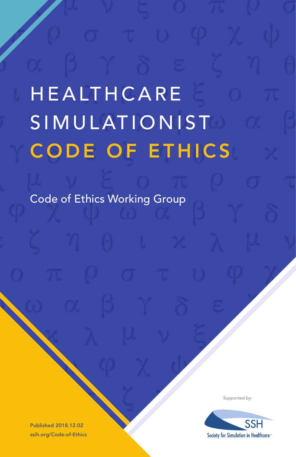# **HEALTHCARE SIMULATIONIST** CODE OF ETHICS

Code of Ethics Working Group

Published 2018.12.02 ssih.org/Code-of-Ethics *Supported by:*

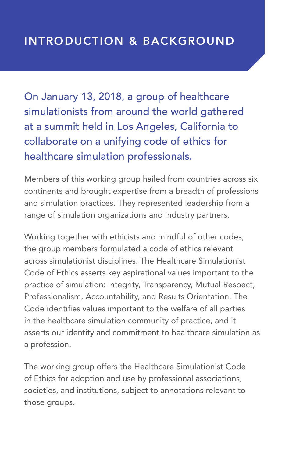On January 13, 2018, a group of healthcare simulationists from around the world gathered at a summit held in Los Angeles, California to collaborate on a unifying code of ethics for healthcare simulation professionals.

Members of this working group hailed from countries across six continents and brought expertise from a breadth of professions and simulation practices. They represented leadership from a range of simulation organizations and industry partners.

Working together with ethicists and mindful of other codes, the group members formulated a code of ethics relevant across simulationist disciplines. The Healthcare Simulationist Code of Ethics asserts key aspirational values important to the practice of simulation: Integrity, Transparency, Mutual Respect, Professionalism, Accountability, and Results Orientation. The Code identifies values important to the welfare of all parties in the healthcare simulation community of practice, and it asserts our identity and commitment to healthcare simulation as a profession.

The working group offers the Healthcare Simulationist Code of Ethics for adoption and use by professional associations, societies, and institutions, subject to annotations relevant to those groups.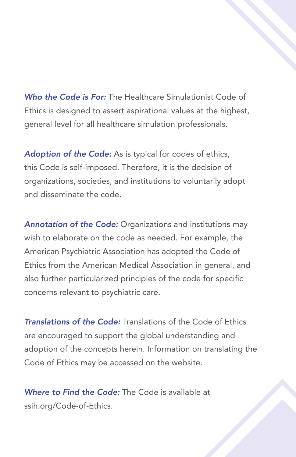*Who the Code is For:* The Healthcare Simulationist Code of Ethics is designed to assert aspirational values at the highest, general level for all healthcare simulation professionals.

Adoption of the Code: As is typical for codes of ethics, this Code is self-imposed. Therefore, it is the decision of organizations, societies, and institutions to voluntarily adopt and disseminate the code.

*Annotation of the Code:* Organizations and institutions may wish to elaborate on the code as needed. For example, the American Psychiatric Association has adopted the Code of Ethics from the American Medical Association in general, and also further particularized principles of the code for specific concerns relevant to psychiatric care.

*Translations of the Code:* Translations of the Code of Ethics are encouraged to support the global understanding and adoption of the concepts herein. Information on translating the Code of Ethics may be accessed on the website.

*Where to Find the Code:* The Code is available at ssih.org/Code-of-Ethics.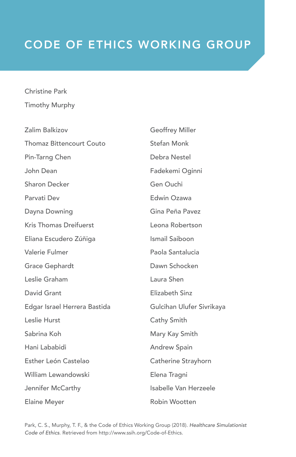# CODE OF ETHICS WORKING GROUP

#### Christine Park Timothy Murphy

| Zalim Balkizov               | <b>Geoffrey Miller</b>    |
|------------------------------|---------------------------|
| Thomaz Bittencourt Couto     | Stefan Monk               |
| Pin-Tarng Chen               | Debra Nestel              |
| John Dean                    | Fadekemi Oginni           |
| Sharon Decker                | Gen Ouchi                 |
| Parvati Dev                  | Edwin Ozawa               |
| Dayna Downing                | Gina Peña Pavez           |
| Kris Thomas Dreifuerst       | Leona Robertson           |
| Eliana Escudero Zúñiga       | Ismail Saiboon            |
| Valerie Fulmer               | Paola Santalucia          |
| Grace Gephardt               | Dawn Schocken             |
| Leslie Graham                | Laura Shen                |
| David Grant                  | Elizabeth Sinz            |
| Edgar Israel Herrera Bastida | Gulcihan Ulufer Sivrikaya |
| Leslie Hurst                 | Cathy Smith               |
| Sabrina Koh                  | Mary Kay Smith            |
| Hani Lababidi                | <b>Andrew Spain</b>       |
| Esther León Castelao         | Catherine Strayhorn       |
| William Lewandowski          | Elena Tragni              |
| Jennifer McCarthy            | Isabelle Van Herzeele     |
| Elaine Meyer                 | Robin Wootten             |

Park, C. S., Murphy, T. F., & the Code of Ethics Working Group (2018). *Healthcare Simulationist Code of Ethics*. Retrieved from http://www.ssih.org/Code-of-Ethics.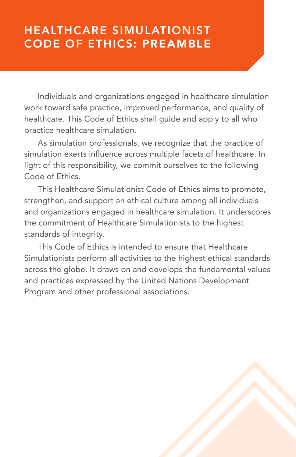# HEALTHCARE SIMULATIONIST CODE OF ETHICS: PREAMBLE

Individuals and organizations engaged in healthcare simulation work toward safe practice, improved performance, and quality of healthcare. This Code of Ethics shall guide and apply to all who practice healthcare simulation.

As simulation professionals, we recognize that the practice of simulation exerts influence across multiple facets of healthcare. In light of this responsibility, we commit ourselves to the following Code of Ethics.

This Healthcare Simulationist Code of Ethics aims to promote, strengthen, and support an ethical culture among all individuals and organizations engaged in healthcare simulation. It underscores the commitment of Healthcare Simulationists to the highest standards of integrity.

This Code of Ethics is intended to ensure that Healthcare Simulationists perform all activities to the highest ethical standards across the globe. It draws on and develops the fundamental values and practices expressed by the United Nations Development Program and other professional associations.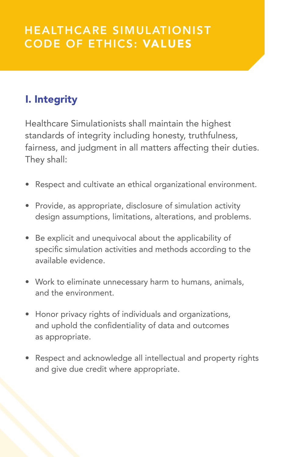# HEALTHCARE SIMULATIONIST CODE OF ETHICS: VALUES

### I. Integrity

Healthcare Simulationists shall maintain the highest standards of integrity including honesty, truthfulness, fairness, and judgment in all matters affecting their duties. They shall:

- Respect and cultivate an ethical organizational environment.
- Provide, as appropriate, disclosure of simulation activity design assumptions, limitations, alterations, and problems.
- Be explicit and unequivocal about the applicability of specific simulation activities and methods according to the available evidence.
- Work to eliminate unnecessary harm to humans, animals, and the environment.
- Honor privacy rights of individuals and organizations, and uphold the confidentiality of data and outcomes as appropriate.
- Respect and acknowledge all intellectual and property rights and give due credit where appropriate.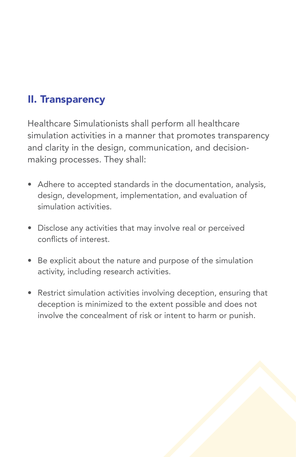### II. Transparency

Healthcare Simulationists shall perform all healthcare simulation activities in a manner that promotes transparency and clarity in the design, communication, and decisionmaking processes. They shall:

- Adhere to accepted standards in the documentation, analysis, design, development, implementation, and evaluation of simulation activities.
- Disclose any activities that may involve real or perceived conflicts of interest.
- Be explicit about the nature and purpose of the simulation activity, including research activities.
- Restrict simulation activities involving deception, ensuring that deception is minimized to the extent possible and does not involve the concealment of risk or intent to harm or punish.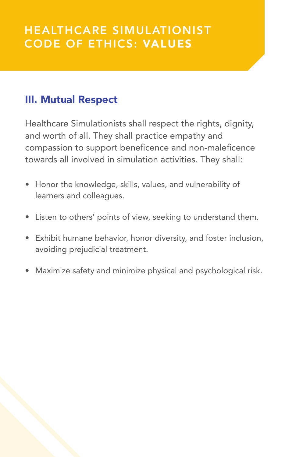#### III. Mutual Respect

Healthcare Simulationists shall respect the rights, dignity, and worth of all. They shall practice empathy and compassion to support beneficence and non-maleficence towards all involved in simulation activities. They shall:

- Honor the knowledge, skills, values, and vulnerability of learners and colleagues.
- Listen to others' points of view, seeking to understand them.
- Exhibit humane behavior, honor diversity, and foster inclusion, avoiding prejudicial treatment.
- Maximize safety and minimize physical and psychological risk.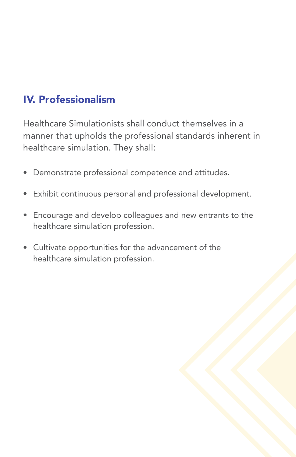## IV. Professionalism

Healthcare Simulationists shall conduct themselves in a manner that upholds the professional standards inherent in healthcare simulation. They shall:

- Demonstrate professional competence and attitudes.
- Exhibit continuous personal and professional development.
- Encourage and develop colleagues and new entrants to the healthcare simulation profession.
- Cultivate opportunities for the advancement of the healthcare simulation profession.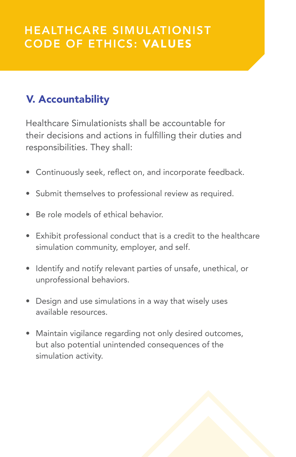# V. Accountability

Healthcare Simulationists shall be accountable for their decisions and actions in fulfilling their duties and responsibilities. They shall:

- Continuously seek, reflect on, and incorporate feedback.
- Submit themselves to professional review as required.
- Be role models of ethical behavior.
- Exhibit professional conduct that is a credit to the healthcare simulation community, employer, and self.
- Identify and notify relevant parties of unsafe, unethical, or unprofessional behaviors.
- Design and use simulations in a way that wisely uses available resources.
- Maintain vigilance regarding not only desired outcomes, but also potential unintended consequences of the simulation activity.

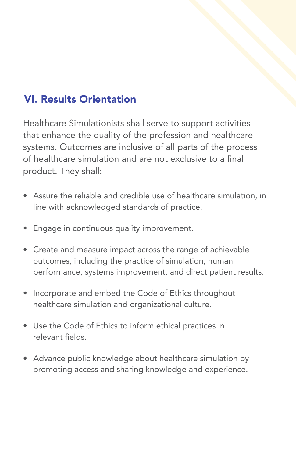### VI. Results Orientation

Healthcare Simulationists shall serve to support activities that enhance the quality of the profession and healthcare systems. Outcomes are inclusive of all parts of the process of healthcare simulation and are not exclusive to a final product. They shall:

- Assure the reliable and credible use of healthcare simulation, in line with acknowledged standards of practice.
- Engage in continuous quality improvement.
- Create and measure impact across the range of achievable outcomes, including the practice of simulation, human performance, systems improvement, and direct patient results.
- Incorporate and embed the Code of Ethics throughout healthcare simulation and organizational culture.
- Use the Code of Ethics to inform ethical practices in relevant fields.
- Advance public knowledge about healthcare simulation by promoting access and sharing knowledge and experience.